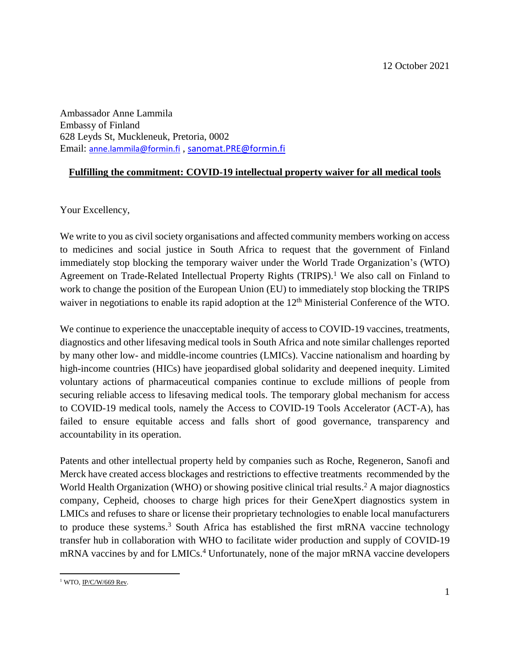Ambassador Anne Lammila Embassy of Finland 628 Leyds St, Muckleneuk, Pretoria, 0002 Email: [anne.lammila@formin.fi](mailto:anne.lammila@formin.fi) , [sanomat.PRE@formin.fi](mailto:sanomat.PRE@formin.fi)

## **Fulfilling the commitment: COVID-19 intellectual property waiver for all medical tools**

Your Excellency,

We write to you as civil society organisations and affected community members working on access to medicines and social justice in South Africa to request that the government of Finland immediately stop blocking the temporary waiver under the World Trade Organization's (WTO) Agreement on Trade-Related Intellectual Property Rights (TRIPS). <sup>1</sup> We also call on Finland to work to change the position of the European Union (EU) to immediately stop blocking the TRIPS waiver in negotiations to enable its rapid adoption at the 12<sup>th</sup> Ministerial Conference of the WTO.

We continue to experience the unacceptable inequity of access to COVID-19 vaccines, treatments, diagnostics and other lifesaving medical tools in South Africa and note similar challenges reported by many other low- and middle-income countries (LMICs). Vaccine nationalism and hoarding by high-income countries (HICs) have jeopardised global solidarity and deepened inequity. Limited voluntary actions of pharmaceutical companies continue to exclude millions of people from securing reliable access to lifesaving medical tools. The temporary global mechanism for access to COVID-19 medical tools, namely the Access to COVID-19 Tools Accelerator (ACT-A), has failed to ensure equitable access and falls short of good governance, transparency and accountability in its operation.

Patents and other intellectual property held by companies such as Roche, Regeneron, Sanofi and Merck have created access blockages and restrictions to effective treatments recommended by the World Health Organization (WHO) or showing positive clinical trial results. <sup>2</sup> A major diagnostics company, Cepheid, chooses to charge high prices for their GeneXpert diagnostics system in LMICs and refuses to share or license their proprietary technologies to enable local manufacturers to produce these systems. <sup>3</sup> South Africa has established the first mRNA vaccine technology transfer hub in collaboration with WHO to facilitate wider production and supply of COVID-19 mRNA vaccines by and for LMICs. <sup>4</sup> Unfortunately, none of the major mRNA vaccine developers

 $\overline{\phantom{a}}$ <sup>1</sup> WTO, <u>IP/C/W/669 Rev</u>.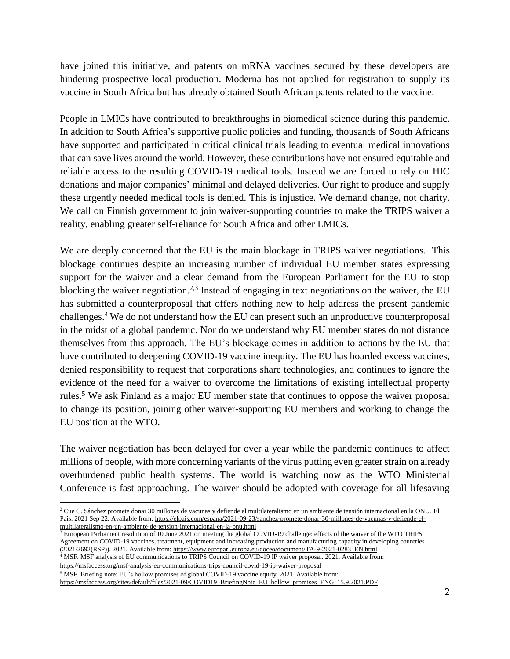have joined this initiative, and patents on mRNA vaccines secured by these developers are hindering prospective local production. Moderna has not applied for registration to supply its vaccine in South Africa but has already obtained South African patents related to the vaccine.

People in LMICs have contributed to breakthroughs in biomedical science during this pandemic. In addition to South Africa's supportive public policies and funding, thousands of South Africans have supported and participated in critical clinical trials leading to eventual medical innovations that can save lives around the world. However, these contributions have not ensured equitable and reliable access to the resulting COVID-19 medical tools. Instead we are forced to rely on HIC donations and major companies' minimal and delayed deliveries. Our right to produce and supply these urgently needed medical tools is denied. This is injustice. We demand change, not charity. We call on Finnish government to join waiver-supporting countries to make the TRIPS waiver a reality, enabling greater self-reliance for South Africa and other LMICs.

We are deeply concerned that the EU is the main blockage in TRIPS waiver negotiations. This blockage continues despite an increasing number of individual EU member states expressing support for the waiver and a clear demand from the European Parliament for the EU to stop blocking the waiver negotiation.<sup>2,3</sup> Instead of engaging in text negotiations on the waiver, the EU has submitted a counterproposal that offers nothing new to help address the present pandemic challenges.<sup>4</sup> We do not understand how the EU can present such an unproductive counterproposal in the midst of a global pandemic. Nor do we understand why EU member states do not distance themselves from this approach. The EU's blockage comes in addition to actions by the EU that have contributed to deepening COVID-19 vaccine inequity. The EU has hoarded excess vaccines, denied responsibility to request that corporations share technologies, and continues to ignore the evidence of the need for a waiver to overcome the limitations of existing intellectual property rules. <sup>5</sup> We ask Finland as a major EU member state that continues to oppose the waiver proposal to change its position, joining other waiver-supporting EU members and working to change the EU position at the WTO.

The waiver negotiation has been delayed for over a year while the pandemic continues to affect millions of people, with more concerning variants of the virus putting even greater strain on already overburdened public health systems. The world is watching now as the WTO Ministerial Conference is fast approaching. The waiver should be adopted with coverage for all lifesaving

 $3$  European Parliament resolution of 10 June 2021 on meeting the global COVID-19 challenge: effects of the waiver of the WTO TRIPS Agreement on COVID-19 vaccines, treatment, equipment and increasing production and manufacturing capacity in developing countries (2021/2692(RSP)). 2021. Available from: [https://www.europarl.europa.eu/doceo/document/TA-9-2021-0283\\_EN.html](https://www.europarl.europa.eu/doceo/document/TA-9-2021-0283_EN.html)

<sup>4</sup> MSF. MSF analysis of EU communications to TRIPS Council on COVID-19 IP waiver proposal. 2021. Available from: <https://msfaccess.org/msf-analysis-eu-communications-trips-council-covid-19-ip-waiver-proposal>

<sup>5</sup> MSF. Briefing note: EU's hollow promises of global COVID-19 vaccine equity. 2021. Available from:

 $\overline{\phantom{a}}$ 

[https://msfaccess.org/sites/default/files/2021-09/COVID19\\_BriefingNote\\_EU\\_hollow\\_promises\\_ENG\\_15.9.2021.PDF](https://msfaccess.org/sites/default/files/2021-09/COVID19_BriefingNote_EU_hollow_promises_ENG_15.9.2021.PDF)

<sup>2</sup> Cue C. Sánchez promete donar 30 millones de vacunas y defiende el multilateralismo en un ambiente de tensión internacional en la ONU. El Pais. 2021 Sep 22. Available from[: https://elpais.com/espana/2021-09-23/sanchez-promete-donar-30-millones-de-vacunas-y-defiende-el](https://elpais.com/espana/2021-09-23/sanchez-promete-donar-30-millones-de-vacunas-y-defiende-el-multilateralismo-en-un-ambiente-de-tension-internacional-en-la-onu.html)[multilateralismo-en-un-ambiente-de-tension-internacional-en-la-onu.html](https://elpais.com/espana/2021-09-23/sanchez-promete-donar-30-millones-de-vacunas-y-defiende-el-multilateralismo-en-un-ambiente-de-tension-internacional-en-la-onu.html)